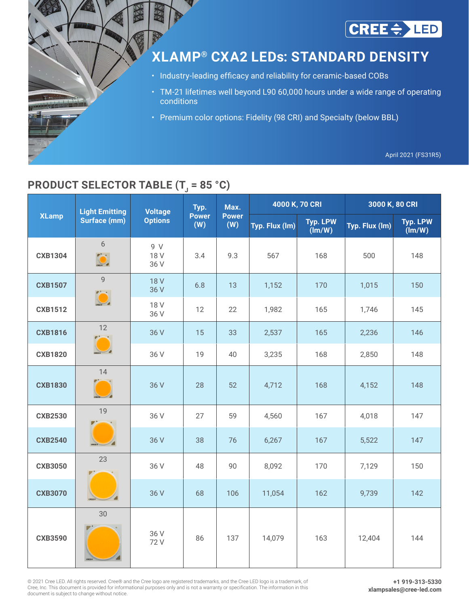

# **XLAMP® CXA2 LEDs: STANDARD DENSITY**

- Industry-leading efficacy and reliability for ceramic-based COBs
- TM-21 lifetimes well beyond L90 60,000 hours under a wide range of operating conditions
- Premium color options: Fidelity (98 CRI) and Specialty (below BBL)

April 2021 (FS31R5)

# **PRODUCT SELECTOR TABLE (T<sub>J</sub> = 85 °C)**

|                | <b>Light Emitting</b> | <b>Voltage</b>      | Typ.                | Max.                | 4000 K, 70 CRI |                                           | 3000 K, 80 CRI |                           |  |  |
|----------------|-----------------------|---------------------|---------------------|---------------------|----------------|-------------------------------------------|----------------|---------------------------|--|--|
| <b>XLamp</b>   | <b>Surface (mm)</b>   | <b>Options</b>      | <b>Power</b><br>(W) | <b>Power</b><br>(W) | Typ. Flux (lm) | <b>Typ. LPW</b><br>$(\text{Im}/\text{W})$ | Typ. Flux (Im) | <b>Typ. LPW</b><br>(lm/W) |  |  |
| <b>CXB1304</b> | 6                     | 9 V<br>18 V<br>36 V | 3.4                 | 9.3                 | 567            | 168                                       | 500            | 148                       |  |  |
| <b>CXB1507</b> | $\overline{9}$        | <b>18 V</b><br>36 V | 6.8                 | 13                  | 1,152          | 170                                       | 1,015          | 150                       |  |  |
| <b>CXB1512</b> |                       | 18 V<br>36 V        | 12                  | 22                  | 1,982          | 165                                       | 1,746          | 145                       |  |  |
| <b>CXB1816</b> | 12                    | 36 V                | 15                  | 33                  | 2,537          | 165                                       | 2,236          | 146                       |  |  |
| <b>CXB1820</b> |                       | 36 V                | 19                  | 40                  | 3,235          | 168                                       | 2,850          | 148                       |  |  |
| <b>CXB1830</b> | 14                    | 36 V                | 28                  | 52                  | 4,712          | 168                                       | 4,152          | 148                       |  |  |
| <b>CXB2530</b> | 19                    | 36 V                | 27                  | 59                  | 4,560          | 167                                       | 4,018          | 147                       |  |  |
| <b>CXB2540</b> | CREEG                 | 36 V                | 38                  | 76                  | 6,267          | 167                                       | 5,522          | 147                       |  |  |
| <b>CXB3050</b> | 23                    | 36 V                | 48                  | 90                  | 8,092          | 170                                       | 7,129          | 150                       |  |  |
| <b>CXB3070</b> | CREEC                 | 36 V                | 68                  | 106                 | 11,054         | 162                                       | 9,739          | 142                       |  |  |
| <b>CXB3590</b> | 30                    | 36 V<br>72 V        | 86                  | 137                 | 14,079         | 163                                       | 12,404         | 144                       |  |  |

© 2021 Cree LED. All rights reserved. Cree® and the Cree logo are registered trademarks, and the Cree LED logo is a trademark, of Cree, Inc. This document is provided for informational purposes only and is not a warranty or specification. The information in this document is subject to change without notice.